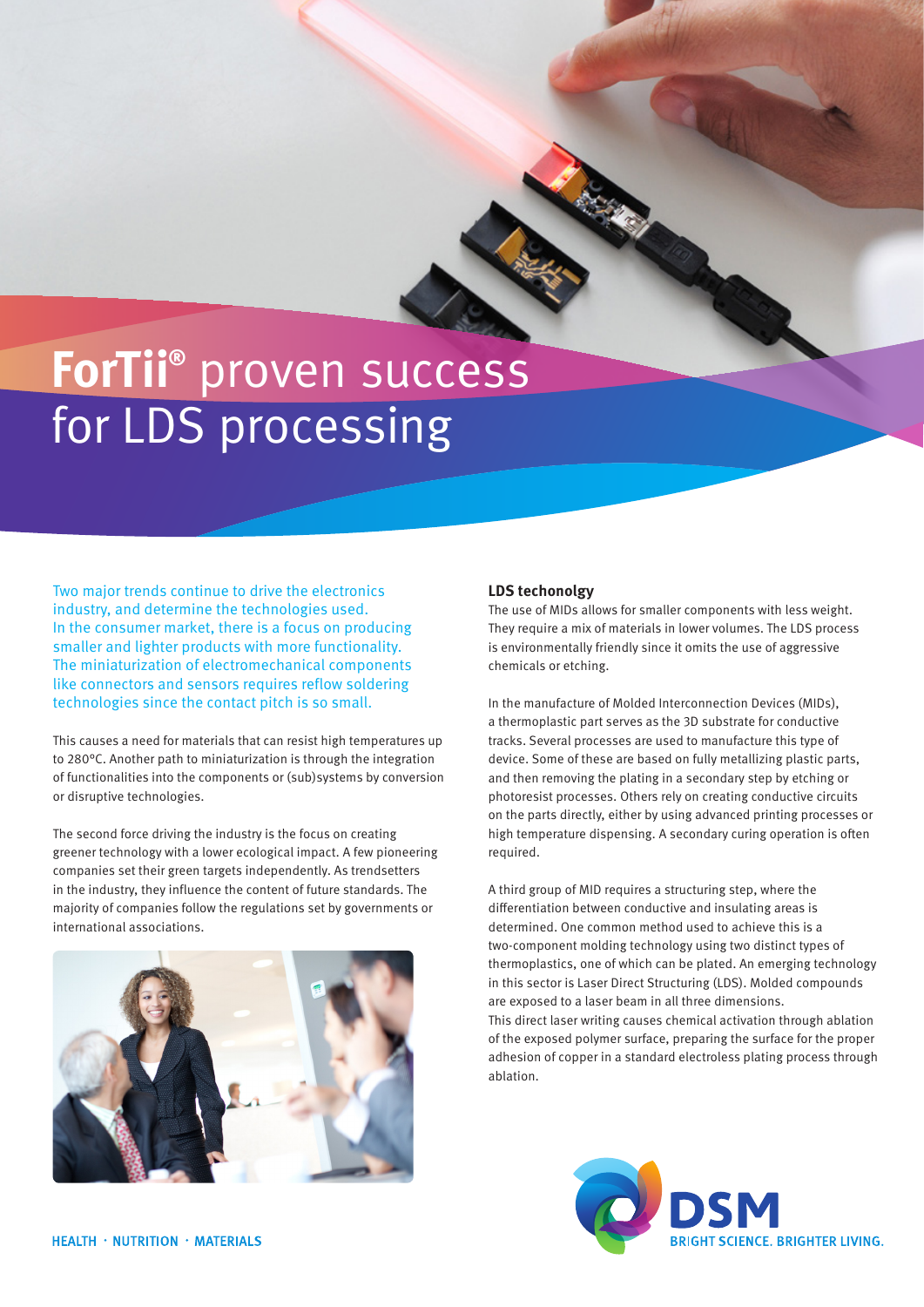# **ForTii®** proven success for LDS processing

Two major trends continue to drive the electronics industry, and determine the technologies used. In the consumer market, there is a focus on producing smaller and lighter products with more functionality. The miniaturization of electromechanical components like connectors and sensors requires reflow soldering technologies since the contact pitch is so small.

This causes a need for materials that can resist high temperatures up to 280°C. Another path to miniaturization is through the integration of functionalities into the components or (sub)systems by conversion or disruptive technologies.

The second force driving the industry is the focus on creating greener technology with a lower ecological impact. A few pioneering companies set their green targets independently. As trendsetters in the industry, they influence the content of future standards. The majority of companies follow the regulations set by governments or international associations.



## **LDS techonolgy**

The use of MIDs allows for smaller components with less weight. They require a mix of materials in lower volumes. The LDS process is environmentally friendly since it omits the use of aggressive chemicals or etching.

In the manufacture of Molded Interconnection Devices (MIDs), a thermoplastic part serves as the 3D substrate for conductive tracks. Several processes are used to manufacture this type of device. Some of these are based on fully metallizing plastic parts, and then removing the plating in a secondary step by etching or photoresist processes. Others rely on creating conductive circuits on the parts directly, either by using advanced printing processes or high temperature dispensing. A secondary curing operation is often required.

A third group of MID requires a structuring step, where the differentiation between conductive and insulating areas is determined. One common method used to achieve this is a two-component molding technology using two distinct types of thermoplastics, one of which can be plated. An emerging technology in this sector is Laser Direct Structuring (LDS). Molded compounds are exposed to a laser beam in all three dimensions. This direct laser writing causes chemical activation through ablation of the exposed polymer surface, preparing the surface for the proper adhesion of copper in a standard electroless plating process through ablation.

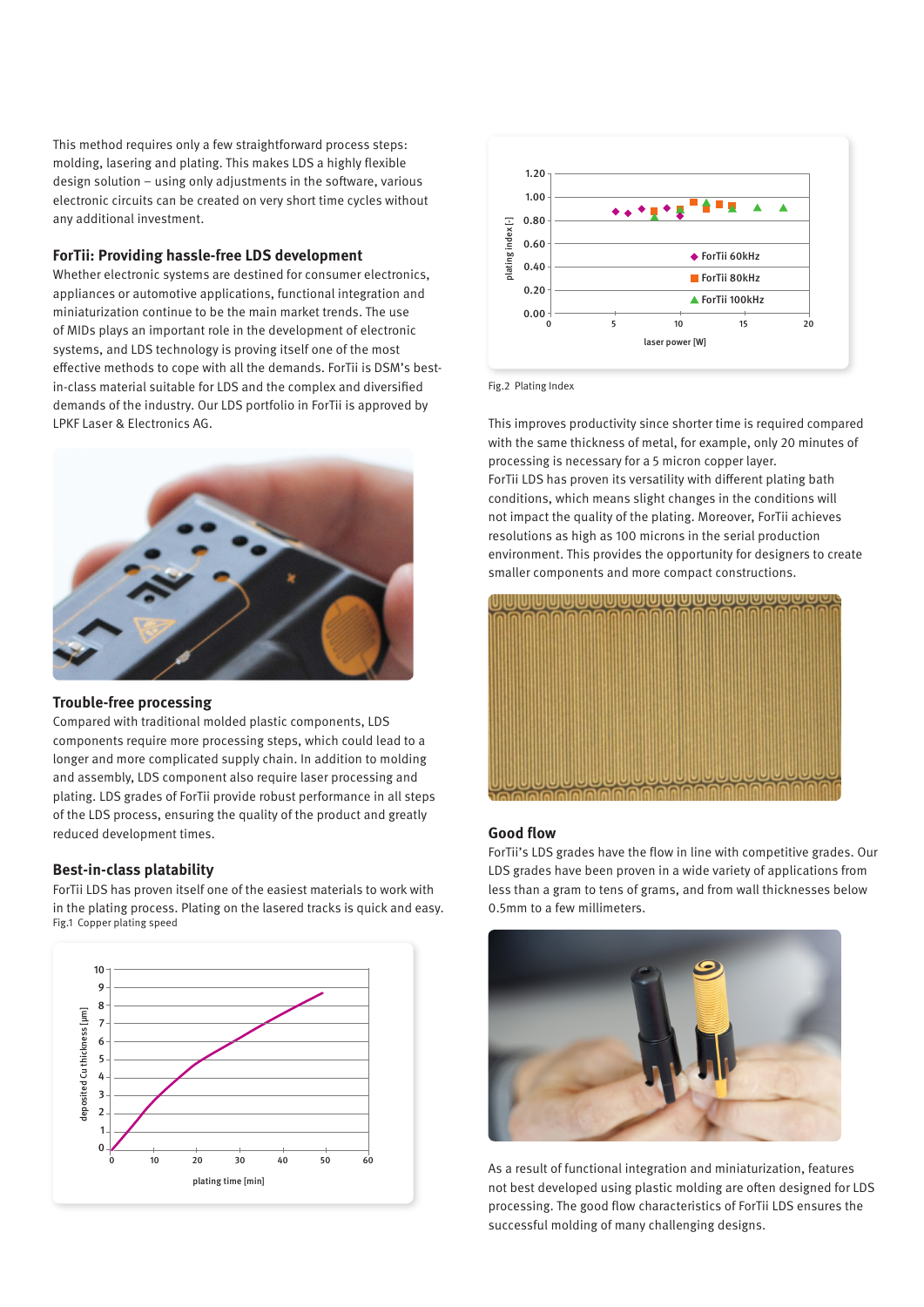This method requires only a few straightforward process steps: molding, lasering and plating. This makes LDS a highly flexible design solution – using only adjustments in the software, various electronic circuits can be created on very short time cycles without any additional investment.

#### **ForTii: Providing hassle-free LDS development**

Whether electronic systems are destined for consumer electronics, appliances or automotive applications, functional integration and miniaturization continue to be the main market trends. The use of MIDs plays an important role in the development of electronic systems, and LDS technology is proving itself one of the most effective methods to cope with all the demands. ForTii is DSM's bestin-class material suitable for LDS and the complex and diversified demands of the industry. Our LDS portfolio in ForTii is approved by LPKF Laser & Electronics AG.



## **Trouble-free processing**

Compared with traditional molded plastic components, LDS components require more processing steps, which could lead to a longer and more complicated supply chain. In addition to molding and assembly, LDS component also require laser processing and plating. LDS grades of ForTii provide robust performance in all steps of the LDS process, ensuring the quality of the product and greatly reduced development times.

#### **Best-in-class platability**

ForTii LDS has proven itself one of the easiest materials to work with in the plating process. Plating on the lasered tracks is quick and easy. Fig.1 Copper plating speed





Fig.2 Plating Index

This improves productivity since shorter time is required compared with the same thickness of metal, for example, only 20 minutes of processing is necessary for a 5 micron copper layer. ForTii LDS has proven its versatility with different plating bath conditions, which means slight changes in the conditions will not impact the quality of the plating. Moreover, ForTii achieves resolutions as high as 100 microns in the serial production environment. This provides the opportunity for designers to create smaller components and more compact constructions.



#### **Good flow**

ForTii's LDS grades have the flow in line with competitive grades. Our LDS grades have been proven in a wide variety of applications from less than a gram to tens of grams, and from wall thicknesses below 0.5mm to a few millimeters.



As a result of functional integration and miniaturization, features not best developed using plastic molding are often designed for LDS processing. The good flow characteristics of ForTii LDS ensures the successful molding of many challenging designs.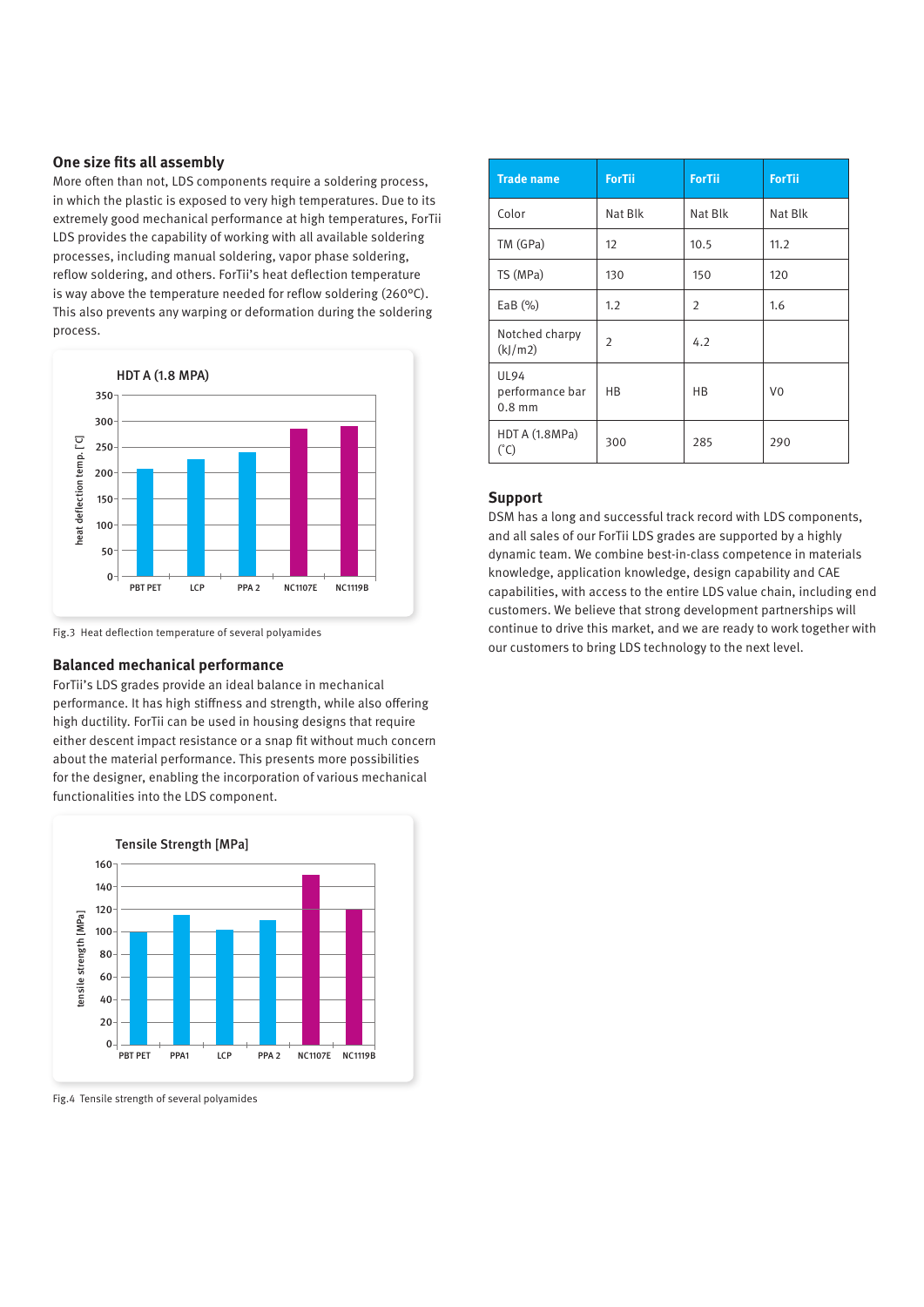# **One size fits all assembly**

More often than not, LDS components require a soldering process, in which the plastic is exposed to very high temperatures. Due to its extremely good mechanical performance at high temperatures, ForTii LDS provides the capability of working with all available soldering processes, including manual soldering, vapor phase soldering, reflow soldering, and others. ForTii's heat deflection temperature is way above the temperature needed for reflow soldering (260°C). This also prevents any warping or deformation during the soldering process.



Fig.3 Heat deflection temperature of several polyamides

#### **Balanced mechanical performance**

ForTii's LDS grades provide an ideal balance in mechanical performance. It has high stiffness and strength, while also offering high ductility. ForTii can be used in housing designs that require either descent impact resistance or a snap fit without much concern about the material performance. This presents more possibilities for the designer, enabling the incorporation of various mechanical functionalities into the LDS component.



Fig.4 Tensile strength of several polyamides

| <b>Trade name</b>                          | <b>ForTii</b>  | <b>ForTii</b>  | <b>ForTii</b>  |
|--------------------------------------------|----------------|----------------|----------------|
| Color                                      | Nat Blk        | Nat Blk        | Nat Blk        |
| TM (GPa)                                   | 12             | 10.5           | 11.2           |
| TS (MPa)                                   | 130            | 150            | 120            |
| EaB $(%)$                                  | 1.2            | $\overline{2}$ | 1.6            |
| Notched charpy<br>(k)/m2)                  | $\overline{2}$ | 4.2            |                |
| <b>UL94</b><br>performance bar<br>$0.8$ mm | <b>HB</b>      | <b>HB</b>      | V <sub>0</sub> |
| HDT A (1.8MPa)<br>$(^{\circ}C)$            | 300            | 285            | 290            |

# **Support**

DSM has a long and successful track record with LDS components, and all sales of our ForTii LDS grades are supported by a highly dynamic team. We combine best-in-class competence in materials knowledge, application knowledge, design capability and CAE capabilities, with access to the entire LDS value chain, including end customers. We believe that strong development partnerships will continue to drive this market, and we are ready to work together with our customers to bring LDS technology to the next level.